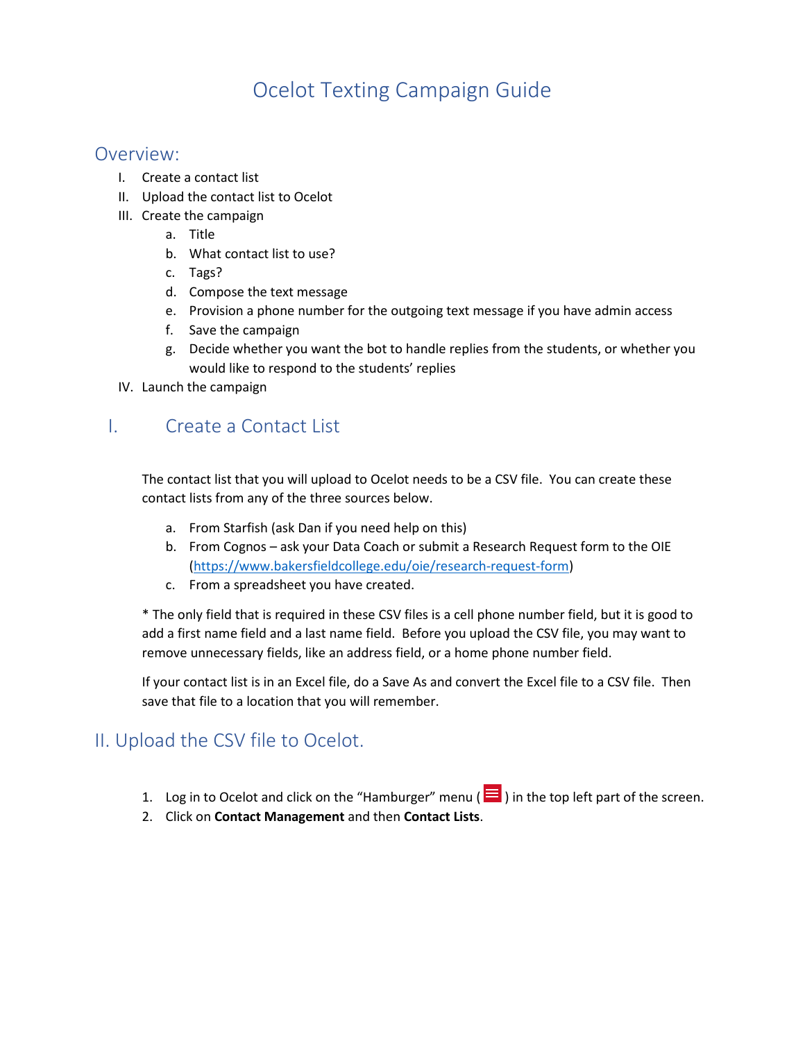# Ocelot Texting Campaign Guide

## Overview:

- I. Create a contact list
- II. Upload the contact list to Ocelot
- III. Create the campaign
	- a. Title
	- b. What contact list to use?
	- c. Tags?
	- d. Compose the text message
	- e. Provision a phone number for the outgoing text message if you have admin access
	- f. Save the campaign
	- g. Decide whether you want the bot to handle replies from the students, or whether you would like to respond to the students' replies
- IV. Launch the campaign

## I. Create a Contact List

The contact list that you will upload to Ocelot needs to be a CSV file. You can create these contact lists from any of the three sources below.

- a. From Starfish (ask Dan if you need help on this)
- b. From Cognos ask your Data Coach or submit a Research Request form to the OIE [\(https://www.bakersfieldcollege.edu/oie/research-request-form\)](https://www.bakersfieldcollege.edu/oie/research-request-form)
- c. From a spreadsheet you have created.

\* The only field that is required in these CSV files is a cell phone number field, but it is good to add a first name field and a last name field. Before you upload the CSV file, you may want to remove unnecessary fields, like an address field, or a home phone number field.

If your contact list is in an Excel file, do a Save As and convert the Excel file to a CSV file. Then save that file to a location that you will remember.

## II. Upload the CSV file to Ocelot.

- 1. Log in to Ocelot and click on the "Hamburger" menu ( $\blacksquare$ ) in the top left part of the screen.
- 2. Click on **Contact Management** and then **Contact Lists**.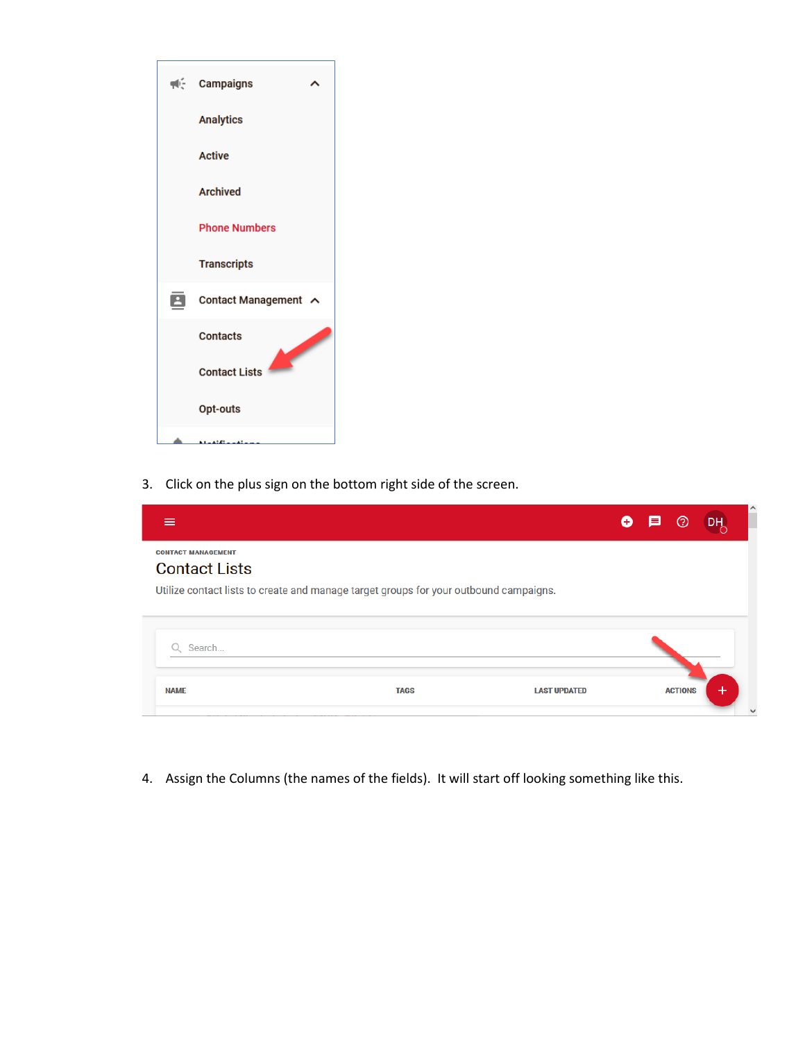

3. Click on the plus sign on the bottom right side of the screen.

|                                                   |                                                                                       | Œ                   | E | (?)            | DH.   | $\lambda$    |
|---------------------------------------------------|---------------------------------------------------------------------------------------|---------------------|---|----------------|-------|--------------|
| <b>CONTACT MANAGEMENT</b><br><b>Contact Lists</b> |                                                                                       |                     |   |                |       |              |
|                                                   | Utilize contact lists to create and manage target groups for your outbound campaigns. |                     |   |                |       |              |
|                                                   |                                                                                       |                     |   |                |       |              |
| Search                                            |                                                                                       |                     |   |                |       |              |
| <b>NAME</b>                                       | <b>TAGS</b>                                                                           | <b>LAST UPDATED</b> |   | <b>ACTIONS</b> | $\pm$ |              |
|                                                   |                                                                                       |                     |   |                |       | $\checkmark$ |

4. Assign the Columns (the names of the fields). It will start off looking something like this.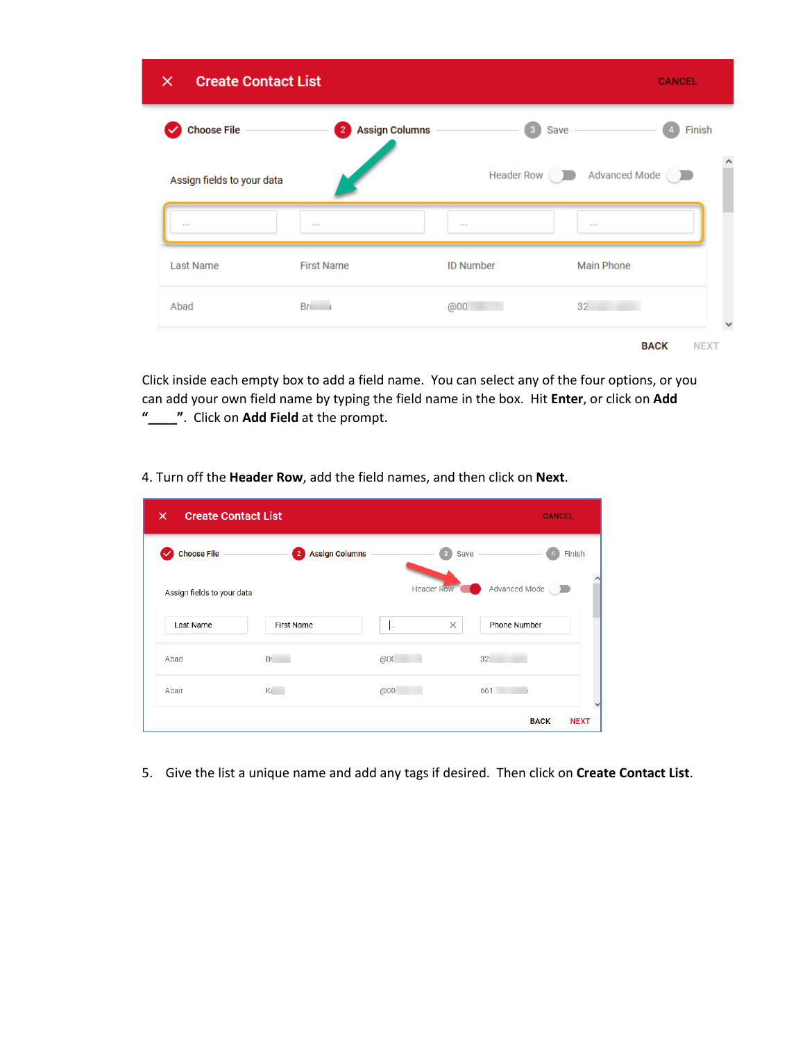| <b>Create Contact List</b><br>$\times$ |                                         |                         |                          | <b>CANCEL</b>              |
|----------------------------------------|-----------------------------------------|-------------------------|--------------------------|----------------------------|
| <b>Choose File</b>                     | <b>Assign Columns</b><br>$\overline{2}$ | $\overline{\mathbf{3}}$ | Save $-$                 | Finish                     |
| Assign fields to your data             |                                         |                         | Header Row Advanced Mode | ∧                          |
| 1.11                                   | 444                                     |                         | 1.11                     |                            |
| <b>Last Name</b>                       | <b>First Name</b>                       | <b>ID Number</b>        | <b>Main Phone</b>        |                            |
| Abad                                   | Bri i                                   | @00                     | 32                       |                            |
|                                        |                                         |                         |                          | <b>BACK</b><br><b>NEXT</b> |

Click inside each empty box to add a field name. You can select any of the four options, or you can add your own field name by typing the field name in the box. Hit **Enter**, or click on **Add "\_\_\_\_"**. Click on **Add Field** at the prompt.

4. Turn off the **Header Row**, add the field names, and then click on **Next**.

| <b>Create Contact List</b><br>×<br><b>CANCEL</b> |                                         |                    |                 |             |
|--------------------------------------------------|-----------------------------------------|--------------------|-----------------|-------------|
| Choose File                                      | <b>Assign Columns</b><br>$\overline{2}$ | 3                  | Save -          | Finish      |
| Assign fields to your data                       |                                         | <b>Header Row</b>  | Advanced Mode ( |             |
| Last Name                                        | First Name                              | $\times$<br>$\sim$ | Phone Number    |             |
| Abad                                             | Br                                      | @00                | 32              |             |
| Abair                                            | Ki                                      | @00                | 661             |             |
|                                                  |                                         |                    | <b>BACK</b>     | <b>NEXT</b> |

5. Give the list a unique name and add any tags if desired. Then click on **Create Contact List**.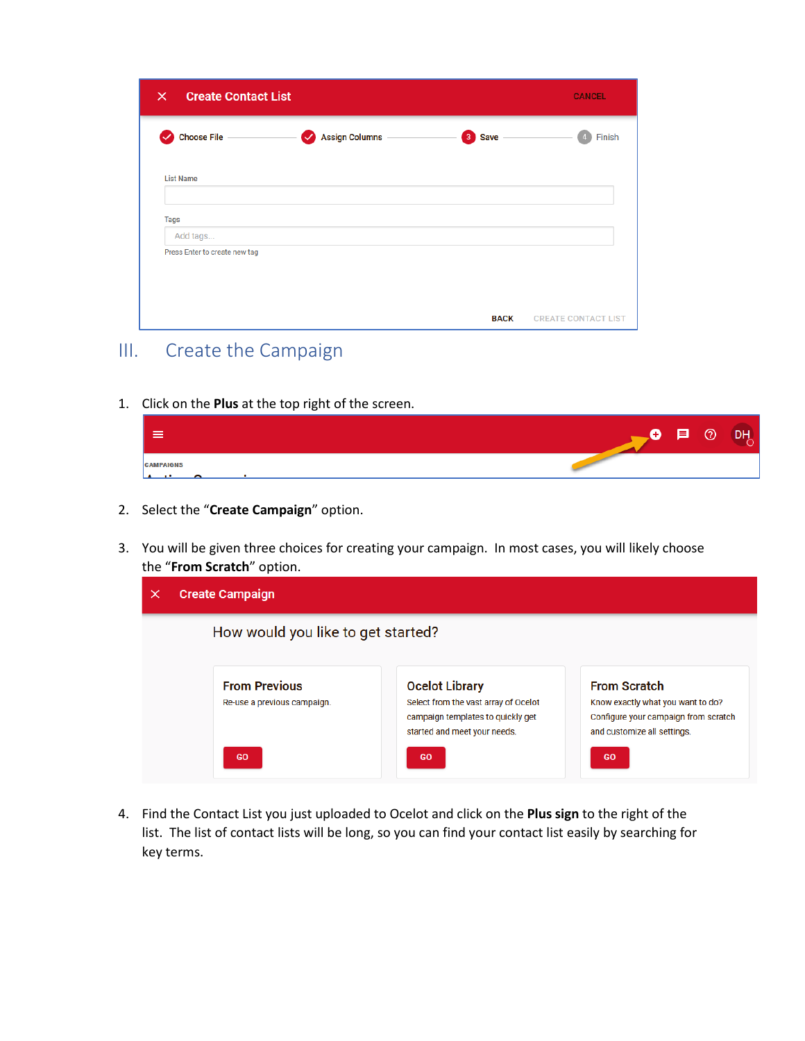| <b>Create Contact List</b><br>$\times$    |                                    | <b>CANCEL</b>               |                            |
|-------------------------------------------|------------------------------------|-----------------------------|----------------------------|
| <b>Choose File</b><br>$\checkmark$        | <b>Assign Columns</b><br>$\bullet$ | $\mathbf{3}$<br><b>Save</b> | Finish                     |
| <b>List Name</b>                          |                                    |                             |                            |
| <b>Tags</b>                               |                                    |                             |                            |
| Add tags<br>Press Enter to create new tag |                                    |                             |                            |
|                                           |                                    |                             |                            |
|                                           |                                    | <b>BACK</b>                 | <b>CREATE CONTACT LIST</b> |

# III. Create the Campaign

1. Click on the **Plus** at the top right of the screen.

| ≔                                        | $\Box$ $\Box$ $\Box$ $\Box$ $\Box$ $\Box$<br>$\bullet$ |  |
|------------------------------------------|--------------------------------------------------------|--|
| <b>CAMPAIGNS</b><br>Anthony Announcement |                                                        |  |

- 2. Select the "**Create Campaign**" option.
- 3. You will be given three choices for creating your campaign. In most cases, you will likely choose the "**From Scratch**" option.

| <b>Create Campaign</b>                              |                                                                                                                                    |                                                                                                                                 |  |  |
|-----------------------------------------------------|------------------------------------------------------------------------------------------------------------------------------------|---------------------------------------------------------------------------------------------------------------------------------|--|--|
| How would you like to get started?                  |                                                                                                                                    |                                                                                                                                 |  |  |
| <b>From Previous</b><br>Re-use a previous campaign. | <b>Ocelot Library</b><br>Select from the vast array of Ocelot<br>campaign templates to quickly get<br>started and meet your needs. | <b>From Scratch</b><br>Know exactly what you want to do?<br>Configure your campaign from scratch<br>and customize all settings. |  |  |
| GO                                                  | GO                                                                                                                                 | <b>GO</b>                                                                                                                       |  |  |

4. Find the Contact List you just uploaded to Ocelot and click on the **Plus sign** to the right of the list. The list of contact lists will be long, so you can find your contact list easily by searching for key terms.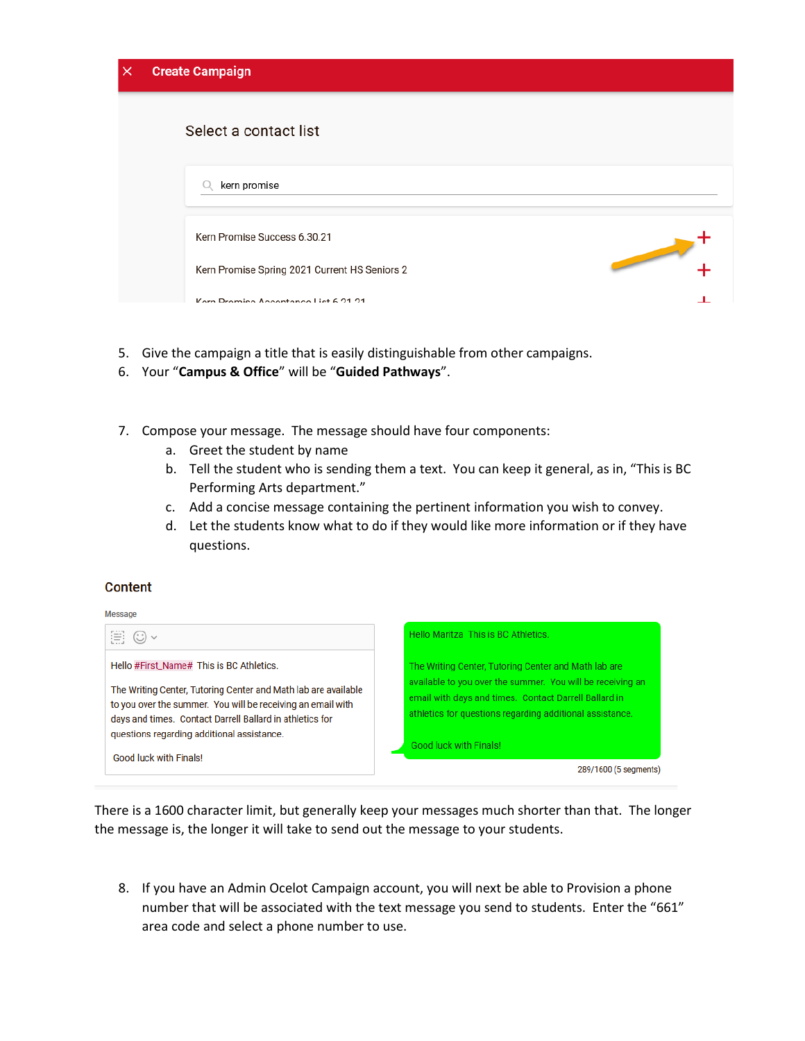| × | <b>Create Campaign</b>                        |                                                                                                                                                                                                                                      |
|---|-----------------------------------------------|--------------------------------------------------------------------------------------------------------------------------------------------------------------------------------------------------------------------------------------|
|   | Select a contact list                         |                                                                                                                                                                                                                                      |
|   | kern promise                                  |                                                                                                                                                                                                                                      |
|   | Kern Promise Success 6.30.21                  |                                                                                                                                                                                                                                      |
|   | Kern Promise Spring 2021 Current HS Seniors 2 | <b>Contract Contract Contract Contract Contract Contract Contract Contract Contract Contract Contract Contract Contract Contract Contract Contract Contract Contract Contract Contract Contract Contract Contract Contract Contr</b> |
|   | Korn Promise Accontance List 6.21.21          |                                                                                                                                                                                                                                      |

- 5. Give the campaign a title that is easily distinguishable from other campaigns.
- 6. Your "**Campus & Office**" will be "**Guided Pathways**".
- 7. Compose your message. The message should have four components:
	- a. Greet the student by name
	- b. Tell the student who is sending them a text. You can keep it general, as in, "This is BC Performing Arts department."
	- c. Add a concise message containing the pertinent information you wish to convey.
	- d. Let the students know what to do if they would like more information or if they have questions.

#### **Content**

#### Message



There is a 1600 character limit, but generally keep your messages much shorter than that. The longer the message is, the longer it will take to send out the message to your students.

8. If you have an Admin Ocelot Campaign account, you will next be able to Provision a phone number that will be associated with the text message you send to students. Enter the "661" area code and select a phone number to use.